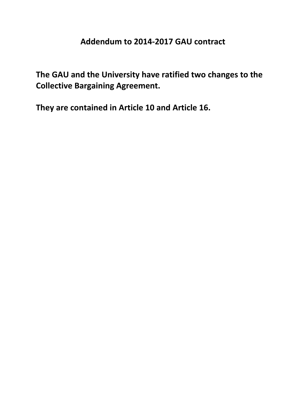## **Addendum to 2014-2017 GAU contract**

**The GAU and the University have ratified two changes to the Collective Bargaining Agreement.** 

**They are contained in Article 10 and Article 16.**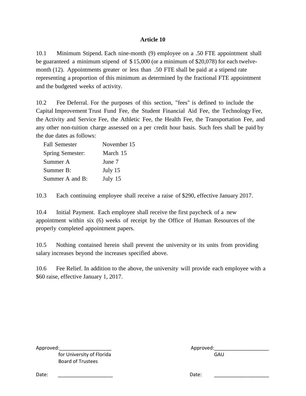## **Article 10**

10.1 Minimum Stipend. Each nine-month (9) employee on a .50 FTE appointment shall be guaranteed a minimum stipend of \$ 15,000 (or a minimum of \$20,078) for each twelvemonth (12). Appointments greater or less than .50 FTE shall be paid at a stipend rate representing a proportion of this minimum as determined by the fractional FTE appointment and the budgeted weeks of activity.

10.2 Fee Deferral. For the purposes of this section, "fees" is defined to include the Capital Improvement Trust Fund Fee, the Student Financial Aid Fee, the Technology Fee, the Activity and Service Fee, the Athletic Fee, the Health Fee, the Transportation Fee, and any other non-tuition charge assessed on a per credit hour basis. Such fees shall be paid by the due dates as follows:

| Fall Semester    | November 15 |
|------------------|-------------|
| Spring Semester: | March 15    |
| Summer A         | June 7      |
| Summer B:        | July 15     |
| Summer A and B:  | July 15     |
|                  |             |

10.3 Each continuing employee shall receive a raise of \$290, effective January 2017.

10.4 Initial Payment. Each employee shall receive the first paycheck of a new appointment within six (6) weeks of receipt by the Office of Human Resources of the properly completed appointment papers.

10.5 Nothing contained herein shall prevent the university or its units from providing salary increases beyond the increases specified above.

10.6 Fee Relief. In addition to the above, the university will provide each employee with a \$60 raise, effective January 1, 2017.

for University of Florida Board of Trustees

| Approved:                 | Approved: |  |
|---------------------------|-----------|--|
| for University of Florida | GAU       |  |

Date: \_\_\_\_\_\_\_\_\_\_\_\_\_\_\_\_\_\_\_\_ Date: \_\_\_\_\_\_\_\_\_\_\_\_\_\_\_\_\_\_\_\_